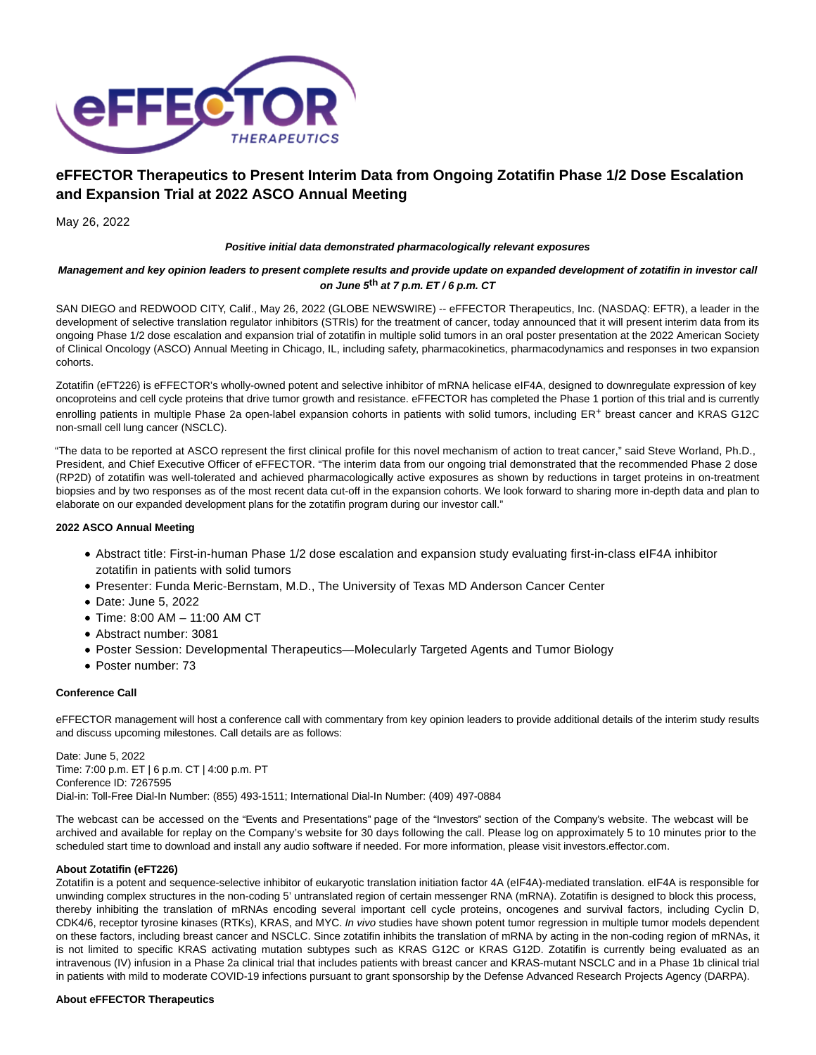

# **eFFECTOR Therapeutics to Present Interim Data from Ongoing Zotatifin Phase 1/2 Dose Escalation and Expansion Trial at 2022 ASCO Annual Meeting**

May 26, 2022

### **Positive initial data demonstrated pharmacologically relevant exposures**

## **Management and key opinion leaders to present complete results and provide update on expanded development of zotatifin in investor call on June 5th at 7 p.m. ET / 6 p.m. CT**

SAN DIEGO and REDWOOD CITY, Calif., May 26, 2022 (GLOBE NEWSWIRE) -- eFFECTOR Therapeutics, Inc. (NASDAQ: EFTR), a leader in the development of selective translation regulator inhibitors (STRIs) for the treatment of cancer, today announced that it will present interim data from its ongoing Phase 1/2 dose escalation and expansion trial of zotatifin in multiple solid tumors in an oral poster presentation at the 2022 American Society of Clinical Oncology (ASCO) Annual Meeting in Chicago, IL, including safety, pharmacokinetics, pharmacodynamics and responses in two expansion cohorts.

Zotatifin (eFT226) is eFFECTOR's wholly-owned potent and selective inhibitor of mRNA helicase eIF4A, designed to downregulate expression of key oncoproteins and cell cycle proteins that drive tumor growth and resistance. eFFECTOR has completed the Phase 1 portion of this trial and is currently enrolling patients in multiple Phase 2a open-label expansion cohorts in patients with solid tumors, including ER+ breast cancer and KRAS G12C non-small cell lung cancer (NSCLC).

"The data to be reported at ASCO represent the first clinical profile for this novel mechanism of action to treat cancer," said Steve Worland, Ph.D., President, and Chief Executive Officer of eFFECTOR. "The interim data from our ongoing trial demonstrated that the recommended Phase 2 dose (RP2D) of zotatifin was well-tolerated and achieved pharmacologically active exposures as shown by reductions in target proteins in on-treatment biopsies and by two responses as of the most recent data cut-off in the expansion cohorts. We look forward to sharing more in-depth data and plan to elaborate on our expanded development plans for the zotatifin program during our investor call."

## **2022 ASCO Annual Meeting**

- Abstract title: First-in-human Phase 1/2 dose escalation and expansion study evaluating first-in-class eIF4A inhibitor zotatifin in patients with solid tumors
- Presenter: Funda Meric-Bernstam, M.D., The University of Texas MD Anderson Cancer Center
- Date: June 5, 2022
- Time: 8:00 AM 11:00 AM CT
- Abstract number: 3081
- Poster Session: Developmental Therapeutics—Molecularly Targeted Agents and Tumor Biology
- Poster number: 73

## **Conference Call**

eFFECTOR management will host a conference call with commentary from key opinion leaders to provide additional details of the interim study results and discuss upcoming milestones. Call details are as follows:

Date: June 5, 2022 Time: 7:00 p.m. ET | 6 p.m. CT | 4:00 p.m. PT Conference ID: 7267595 Dial-in: Toll-Free Dial-In Number: (855) 493-1511; International Dial-In Number: (409) 497-0884

The webcast can be accessed on the "Events and Presentations" page of the "Investors" section of the Company's website. The webcast will be archived and available for replay on the Company's website for 30 days following the call. Please log on approximately 5 to 10 minutes prior to the scheduled start time to download and install any audio software if needed. For more information, please visit investors.effector.com.

#### **About Zotatifin (eFT226)**

Zotatifin is a potent and sequence-selective inhibitor of eukaryotic translation initiation factor 4A (eIF4A)-mediated translation. eIF4A is responsible for unwinding complex structures in the non-coding 5' untranslated region of certain messenger RNA (mRNA). Zotatifin is designed to block this process, thereby inhibiting the translation of mRNAs encoding several important cell cycle proteins, oncogenes and survival factors, including Cyclin D, CDK4/6, receptor tyrosine kinases (RTKs), KRAS, and MYC. In vivo studies have shown potent tumor regression in multiple tumor models dependent on these factors, including breast cancer and NSCLC. Since zotatifin inhibits the translation of mRNA by acting in the non-coding region of mRNAs, it is not limited to specific KRAS activating mutation subtypes such as KRAS G12C or KRAS G12D. Zotatifin is currently being evaluated as an intravenous (IV) infusion in a Phase 2a clinical trial that includes patients with breast cancer and KRAS-mutant NSCLC and in a Phase 1b clinical trial in patients with mild to moderate COVID-19 infections pursuant to grant sponsorship by the Defense Advanced Research Projects Agency (DARPA).

#### **About eFFECTOR Therapeutics**